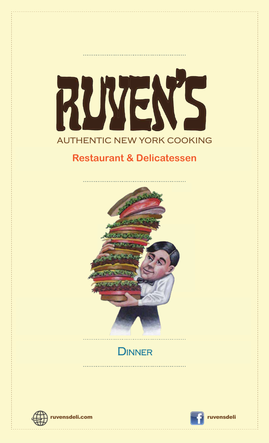# RUYENS **AUTHENTIC NEW YORK COOKING**

# **Restaurant & Delicatessen**



# DINNER



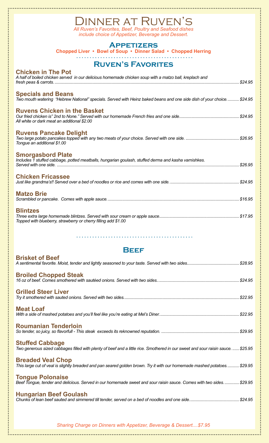# Dinner at Ruven's

*All Ruven's Favorites, Beef, Poultry and Seafood dishes include choice of Appetizer, Beverage and Dessert.*

#### **Appetizers**

**Chopped Liver • Bowl of Soup • Dinner Salad • Chopped Herring**

# **Ruven's Favorites**

|  | <b>Chicken in The Pot</b> |  |  |
|--|---------------------------|--|--|
|  |                           |  |  |

| A half of boiled chicken served in our delicious homemade chicken soup with a matzo ball, kreplach and                                             |
|----------------------------------------------------------------------------------------------------------------------------------------------------|
| <b>Specials and Beans</b><br>Two mouth watering "Hebrew National" specials. Served with Heinz baked beans and one side dish of your choice \$24.95 |
| <b>Ruvens Chicken in the Basket</b><br>All white or dark meat an additional \$2.00                                                                 |
| <b>Ruvens Pancake Delight</b><br>Tongue an additional \$1.00                                                                                       |
| <b>Smorgasbord Plate</b><br>Includes 1 stuffed cabbage, potted meatballs, hungarian goulash, stuffed derma and kasha varnishkes.                   |
| <b>Chicken Fricassee</b>                                                                                                                           |
| <b>Matzo Brie</b>                                                                                                                                  |
| <b>Blintzes</b><br>Topped with blueberry, strawberry or cherry filling add \$1.00                                                                  |

# **Beef**

| <b>Brisket of Beef</b>                                                                                                                                     |
|------------------------------------------------------------------------------------------------------------------------------------------------------------|
| <b>Broiled Chopped Steak</b>                                                                                                                               |
| <b>Grilled Steer Liver</b>                                                                                                                                 |
| <b>Meat Loaf</b>                                                                                                                                           |
| <b>Roumanian Tenderloin</b>                                                                                                                                |
| <b>Stuffed Cabbage</b><br>Two generous sized cabbages filled with plenty of beef and a little rice. Smothered in our sweet and sour raisin sauce.  \$25.95 |
| <b>Breaded Veal Chop</b><br>This large cut of veal is slightly breaded and pan seared golden brown. Try it with our homemade mashed potatoes \$29.95       |
| <b>Tongue Polonaise</b><br>Beef Tongue, tender and delicious. Served in our homemade sweet and sour raisin sauce. Comes with two sides\$29.95              |
| <b>Hungarian Beef Goulash</b>                                                                                                                              |

*Sharing Charge on Dinners with Appetizer, Beverage & Dessert....\$7.95*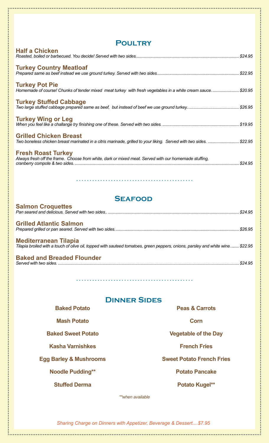| <b>POULTRY</b>                                                                                                                                       |  |  |  |
|------------------------------------------------------------------------------------------------------------------------------------------------------|--|--|--|
| <b>Half a Chicken</b>                                                                                                                                |  |  |  |
| <b>Turkey Country Meatloaf</b>                                                                                                                       |  |  |  |
| <b>Turkey Pot Pie</b><br>Homemade of course! Chunks of tender mixed meat turkey with fresh vegetables in a white cream sauce \$20.95                 |  |  |  |
| <b>Turkey Stuffed Cabbage</b>                                                                                                                        |  |  |  |
| <b>Turkey Wing or Leg</b>                                                                                                                            |  |  |  |
| <b>Grilled Chicken Breast</b><br>Two boneless chicken breast marinated in a citris marinade, grilled to your liking. Served with two sides.  \$22.95 |  |  |  |
| <b>Fresh Roast Turkey</b><br>Always fresh off the frame. Choose from white, dark or mixed meat. Served with our homemade stuffing,                   |  |  |  |

# **Seafood**

| <b>Salmon Croquettes</b>                                                                                                                                       | \$24.95 |
|----------------------------------------------------------------------------------------------------------------------------------------------------------------|---------|
| <b>Grilled Atlantic Salmon</b>                                                                                                                                 |         |
| <b>Mediterranean Tilapia</b><br>Tilapia broiled with a touch of olive oil, topped with sauteed tomatoes, green peppers, onions, parsley and white wine \$22.95 |         |
| <b>Baked and Breaded Flounder</b>                                                                                                                              | \$24.95 |

. . . . . . . . . . . .

# **Dinner Sides**

| <b>Baked Potato</b>               | <b>Peas &amp; Carrots</b>        |  |
|-----------------------------------|----------------------------------|--|
| <b>Mash Potato</b>                | Corn                             |  |
| <b>Baked Sweet Potato</b>         | <b>Vegetable of the Day</b>      |  |
| <b>Kasha Varnishkes</b>           | <b>French Fries</b>              |  |
| <b>Egg Barley &amp; Mushrooms</b> | <b>Sweet Potato French Fries</b> |  |
| <b>Noodle Pudding**</b>           | <b>Potato Pancake</b>            |  |
| <b>Stuffed Derma</b>              | Potato Kugel**                   |  |
|                                   |                                  |  |

*\*\*when available*

*Sharing Charge on Dinners with Appetizer, Beverage & Dessert....\$7.95*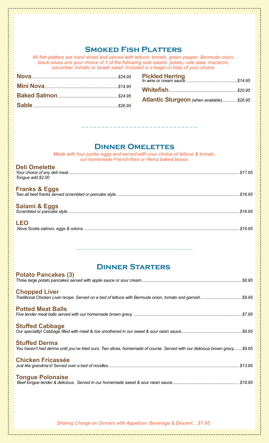#### **Smoked Fish Platters**

*All fish platters are hand sliced and served with lettuce, tomato, green pepper, Bermuda onion, black olives and your choice of 1 of the following side salads: potato, cole slaw, macaroni, cucumber, tomato or Israeli salad. Included is a bagel or bialy of your choice.*

| <b>Atlantic Sturgeon</b> (when available) \$26.95 |  |
|---------------------------------------------------|--|

#### **Dinner Omelettes**

*Made with four jumbo eggs and served with your choice of lettuce & tomato, our homemade French fries or Heinz baked beans.*

#### **Deli Omelette**

*Your choice of any deli meat..........................................................................................................................................................\$17.95 Tongue add \$2.00*

#### **Franks & Eggs**

| Two all beef franks served scrambled or pancake style |
|-------------------------------------------------------|
|                                                       |

*Scrambled or pancake style. .........................................................................................................................................................\$16.95*

# **Salami & Eggs**<br>Scrambled or pancake style............

| <b>LEO</b> |  |  |  |
|------------|--|--|--|

*Nova Scotia salmon, eggs & onions. ...........................................................................................................................................\$16.95*

# **Dinner Starters**

| <b>Potato Pancakes (3)</b>                                                                                                                          |
|-----------------------------------------------------------------------------------------------------------------------------------------------------|
| <b>Chopped Liver</b><br>Traditional Chicken Liver recipe. Served on a bed of lettuce with Bermuda onion, tomato and garnish\$9.95                   |
| <b>Potted Meat Balls</b>                                                                                                                            |
| <b>Stuffed Cabbage</b>                                                                                                                              |
| <b>Stuffed Derma</b><br>You haven't had derma until you've tried ours. Two slices, homemade of course. Served with our delicious brown gravy \$9.95 |
| <b>Chicken Fricassée</b>                                                                                                                            |
| <b>Tongue Polonaise</b>                                                                                                                             |

*Sharing Charge on Dinners with Appetizer, Beverage & Dessert....\$7.95*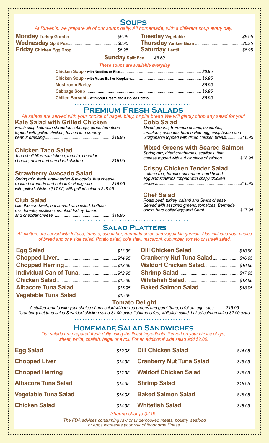## **Soups**

#### *At Ruven's, we prepare all of our soups daily. All homemade, with a different soup every day.*

#### **Sunday Split Pea** *........\$6.50*

#### *These soups are available everyday*

#### **Premium Fresh Salads**

#### *All salads are served with your choice of bagel, bialy, or pita bread We will gladly chop any salad for you!*

#### **Kale Salad with Grilled Chicken**

*Fresh crisp kale with shredded cabbage, grape tomatoes, topped with grilled chicken, tossed in a creamy peanut dressing............................................................\$16.95*

#### **Chicken Taco Salad**

*Taco shell filled with lettuce, tomato, cheddar cheese, onion and shredded chicken .........................\$16.95*

#### **Strawberry Avocado Salad**

*Spring mix, fresh strawberries & avocado, feta cheese, roasted almonds and balsamic vinaigrette..................\$15.95 with grilled chicken \$17.95, with grilled salmon \$18.95*

#### **Club Salad**

*Like the sandwich, but served as a salad. Lettuce mix, tomato, scallions, smoked turkey, bacon and cheddar cheese. ...................................................\$16.95* **Cobb Salad** *Mixed greens, Bermuda onions, cucumber, tomatoes, avacado, hard boiled egg, crisp bacon and Gorgonzola topped with diced chicken breast............\$16.95*

#### **Mixed Greens with Seared Salmon**

*Spring mix, dried cranberries, scallions, feta cheese topped with a 5 oz piece of salmon................\$18.95*

#### **Crispy Chicken Tender Salad**

. . . . . . . . . . .

*Lettuce mix, tomato, cucumber, hard boiled egg and scallions topped with crispy chicken tenders..........................................................................\$16.95*

#### **Chef Salad**

*Roast beef, turkey, salami and Swiss cheese. Served with assorted greens, tomatoes, Bermuda onion, hard boiled egg and Garni................................\$17.95*

#### **Salad Platters**

*All platters are served with lettuce, tomato, cucumber, Bermuda onion and vegetable garnish. Also includes your choice of bread and one side salad. Potato salad, cole slaw, macaroni, cucumber, tomato or Israeli salad.*

| Cranberry Nut Tuna Salad \$16.95 |  |
|----------------------------------|--|
|                                  |  |
|                                  |  |
|                                  |  |
|                                  |  |

#### **Tomato Delight**

*A stuffed tomato with your choice of any salad with mixed greens and garni (tuna, chicken, egg, etc.)...........\$16.95 \*cranberry nut tuna salad & waldorf chicken salad \$1.00 extra \*shrimp salad, whitefish salad, baked salmon salad \$2.00 extra*

#### **Homemade Salad Sandwiches**

*Our salads are prepared fresh daily using the finest ingredients. Served on your choice of rye, wheat, white, challah, bagel or a roll. For an additional side salad add \$2.00.*

| $Rho xina a bora a 0.05$ |  |  |  |  |
|--------------------------|--|--|--|--|

*Sharing charge \$2.95*

*The FDA advises consuming raw or undercooked meats, poultry, seafood or eggs increases your risk of foodborne illness.*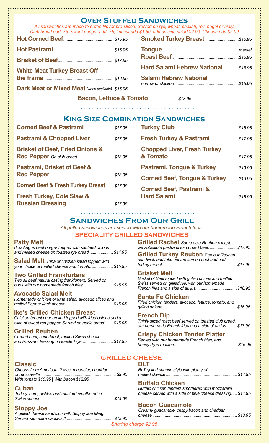|  | <b>Smoked Turkey</b> |  |
|--|----------------------|--|
|  |                      |  |

**Over Stuffed Sandwiches** *All sandwiches are made to order. Never pre-sliced. Served on rye, wheat, challah, roll, bagel or bialy. Club bread add .75. Sweet pepper add .75, 1st cut add \$1.50, add as side salad \$2.00. Cheese add \$2.00*

| <b>White Meat Turkey Breast Off</b> |  |
|-------------------------------------|--|

**the frame***................................................................\$16.95*

**Dark Meat or Mixed Meat***(when available).. \$16.95*

**Smoked Turkey Breast** *.............................\$15.95* **Tongue** *....................................................................market* **Roast Beef** *...........................................................\$16.95*

**Hard Salami Hebrew National** *.............\$16.95*

| <b>Salami Hebrew National</b>          |       |
|----------------------------------------|-------|
| المراجع المائط مراجا المتحدد والمستحدة | 0.450 |

*narrow or chicken .........................................................\$15.95*

**Bacon, Lettuce & Tomato** *..........................\$13.95*

#### **King Size Combination Sandwiches**

| <b>Brisket of Beef, Fried Onions &amp;</b> |  |
|--------------------------------------------|--|
| Pastrami, Brisket of Beef &                |  |
| Corned Beef & Fresh Turkey Breast \$17.95  |  |

**Fresh Turkey, Cole Slaw & Russian Dressing***...........................................\$17.95*

# **Fresh Turkey & Pastrami***..........................\$17.95* **Chopped Liver, Fresh Turkey & Tomato***................................................................\$17.95* **Pastrami, Tongue & Turkey***....................\$19.95* **Corned Beef, Tongue & Turkey***...........\$19.95* **Corned Beef, Pastrami & Hard Salami***.........................................................\$18.95*

**Turkey Club***.........................................................\$15.95* 

# **Sandwiches From Our Grill**

*All grilled sandwiches are served with our homemade French fries.* **SPECIALITY GRILLED SANDWICHES**

#### **Patty Melt**

*8 oz Angus beef burger topped with sautéed onions and melted cheese on toasted rye bread. ....................\$14.95*

**Salad Melt** *Tuna or chicken salad topped with your choice of melted cheese and tomato....................\$15.95*

**Two Grilled Frankfurters** *Two all beef natural casing frankfurters. Served on buns with our homemade french fries...........................\$15.95*

#### **Avocado Salad Melt**  *Homemade chicken or tuna salad, avocado slices and melted Pepper Jack cheese. .........................................\$16.95*

#### **Ike's Grilled Chicken Breast** *Chicken breast char broiled topped with fried onions and a slice of sweet red pepper. Served on garlic bread........ \$16.95*

#### **Grilled Reuben**

| Corned beef, sauerkraut, melted Swiss cheese |  |
|----------------------------------------------|--|
| and Russian dressing on toasted rye \$17.95  |  |

#### **Classic**

*Choose from American, Swiss, muenster, cheddar or mozzarella.................................................................... \$9.95 With tomato \$10.95 | With bacon \$12.95*

#### **Cuban**

*Turkey, ham, pickles and mustard smothered in Swiss cheese..................................................................\$14.95*

#### **Sloppy Joe**

*A grilled cheese sandwich with Sloppy Joe filling. Served with extra napkins!!! ..........................................\$13.95*

**Grilled Rachel** *Same as a Reuben except we substitute pastrami for corned beef. ........................\$17.95*

**Grilled Turkey Reuben** *See our Reuben sandwich and take out the corned beef and add turkey breast...................................................................\$17.95*

#### **Brisket Melt**

*Brisket of Beef topped with grilled onions and melted Swiss served on grilled rye, with our homemade French fries and a side of au jus......................................\$18.95*

#### **Santa Fe Chicken**

*Fried chicken tenders, avocado, lettuce, tomato, and grilled onions...................................................................\$15.95* 

#### **French Dip**

*Thinly sliced roast beef served on toasted club bread, our homemade French fries and a side of au jus.........\$17.95*

#### **Crispy Chicken Tender Platter**

| Served with our homemade French fries, and |  |
|--------------------------------------------|--|
|                                            |  |

#### **GRILLED CHEESE BLT**

| ___                                     |  |
|-----------------------------------------|--|
| BLT grilled cheese style with plenty of |  |
|                                         |  |

#### **Buffalo Chicken**

*Buffalo chicken tenders smothered with mozzarella cheese served with a side of blue cheese dressing..... \$14.95*

#### **Bacon Guacamole**

*Creamy guacamole, crispy bacon and cheddar cheese ............................................................................\$13.95*

*Sharing charge \$2.95*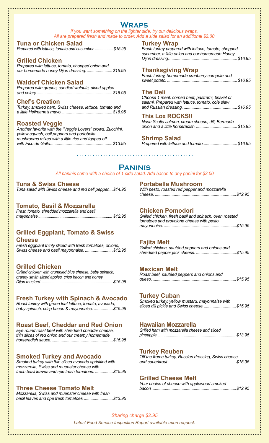## **Wraps**

*If you want something on the lighter side, try our delicious wraps. All are prepared fresh and made to order. Add a side salad for an additional \$2.00*

#### **Tuna or Chicken Salad**

*Prepared with lettuce, tomato and cucumber. ................. \$15.95*

#### **Grilled Chicken**

*Prepared with lettuce, tomato, chopped onion and our homemade honey Dijon dressing........................\$15.95*

#### **Waldorf Chicken Salad**

*Prepared with grapes, candied walnuts, diced apples and celery.....................................................................\$16.95*

#### **Chef's Creation**

*Turkey, smoked ham, Swiss cheese, lettuce, tomato and a little Hellmann's mayo. .............................................\$16.95*

#### **Roasted Veggie**

*Another favorite with the "Veggie Lovers" crowd. Zucchini, yellow squash, bell peppers and portobella mushrooms mixed with a little rice and topped off with Pico de Gallo........................................................\$13.95*

#### **Turkey Wrap**

*Fresh turkey prepared with lettuce, tomato, chopped cucumber, a little onion and our homemade Honey Dijon dressing..............................................................\$16.95*

#### **Thanksgiving Wrap**

*Fresh turkey, homemade cranberry compote and sweet potato. ...............................................................\$16.95*

#### **The Deli**

*Choose 1 meat: corned beef, pastrami, brisket or salami. Prepared with lettuce, tomato, cole slaw and Russian dressing. ................................................\$16.95*

#### **This Lox ROCKS!!**

*Nova Scotia salmon, cream cheese, dill, Bermuda onion and a little horseradish......................................\$15.95*

#### **Shrimp Salad**

*Prepared with lettuce and tomato...............................\$16.95*

#### **Paninis**

*All paninis come with a choice of 1 side salad. Add bacon to any panini for \$3.00*

#### **Tuna & Swiss Cheese** *Tuna salad with Swiss cheese and red bell pepper....\$14.95*

#### **Tomato, Basil & Mozzarella**

| Fresh tomato, shredded mozzarella and basil |  |  |  |
|---------------------------------------------|--|--|--|
|                                             |  |  |  |

#### **Grilled Eggplant, Tomato & Swiss Cheese**

*Fresh eggplant thinly sliced with fresh tomatoes, onions, Swiss cheese and basil mayonnaise. .........................\$12.95*

#### **Grilled Chicken**

*Grilled chicken with crumbled blue cheese, baby spinach, granny smith sliced apples, crisp bacon and honey Dijon mustard. .................................................................... \$15.95*

#### **Fresh Turkey with Spinach & Avocado**

*Roast turkey with green leaf lettuce, tomato, avocado, baby spinach, crisp bacon & mayonnaise. .................\$15.95*

#### **Roast Beef, Cheddar and Red Onion**

*Eye round roast beef with shredded cheddar cheese, thin slices of red onion and our creamy homemade horseradish sauce........................................................\$15.95*

#### **Smoked Turkey and Avocado**

*Smoked turkey with thin sliced avocado sprinkled with mozzarella, Swiss and muenster cheese with fresh basil leaves and ripe fresh tomatoes. ................\$15.95*

#### **Three Cheese Tomato Melt**

*Mozzarella, Swiss and muenster cheese with fresh basil leaves and ripe fresh tomatoes...........................\$13.95*

| <b>Portabella Mushroom</b>                    |  |
|-----------------------------------------------|--|
| With pesto, roasted red pepper and mozzarella |  |
|                                               |  |

#### **Chicken Pomodori**

| Grilled chicken, fresh basil and spinach, oven roasted |  |
|--------------------------------------------------------|--|
| tomatoes and provolone cheese with pesto               |  |
|                                                        |  |

#### **Fajita Melt**

*Grilled chicken, sautéed peppers and onions and shredded pepper jack cheese. ....................................\$15.95*

#### **Mexican Melt**

| Roast beef, sautéed peppers and onions and |  |
|--------------------------------------------|--|
|                                            |  |

#### **Turkey Cuban**

*Smoked turkey, yellow mustard, mayonnaise with sliced dill pickle and Swiss cheese..............................\$15.95*

#### **Hawaiian Mozzarella**

| Grilled ham with mozzarella cheese and sliced |  |  |
|-----------------------------------------------|--|--|
|                                               |  |  |

#### **Turkey Reuben**

| Off the frame turkey, Russian dressing, Swiss cheese |  |
|------------------------------------------------------|--|
|                                                      |  |

#### **Grilled Cheese Melt**

| Your choice of cheese with applewood smoked |  |
|---------------------------------------------|--|
|                                             |  |

*Latest Food Service Inspection Report available upon request. Sharing charge \$2.95*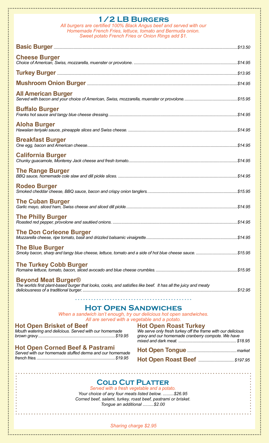## **1/2 LB Burgers**

*All burgers are certified 100% Black Angus beef and served with our Homemade French Fries, lettuce, tomato and Bermuda onion. Sweet potato French Fries or Onion Rings add \$1.*

| <b>Cheese Burger</b>                                                                                                                         |                                                                                             |         |  |
|----------------------------------------------------------------------------------------------------------------------------------------------|---------------------------------------------------------------------------------------------|---------|--|
|                                                                                                                                              |                                                                                             |         |  |
|                                                                                                                                              |                                                                                             |         |  |
| <b>All American Burger</b>                                                                                                                   |                                                                                             |         |  |
| <b>Buffalo Burger</b>                                                                                                                        |                                                                                             |         |  |
| <b>Aloha Burger</b>                                                                                                                          |                                                                                             |         |  |
| <b>Breakfast Burger</b>                                                                                                                      |                                                                                             |         |  |
| <b>California Burger</b>                                                                                                                     |                                                                                             |         |  |
| <b>The Range Burger</b>                                                                                                                      |                                                                                             |         |  |
| <b>Rodeo Burger</b>                                                                                                                          |                                                                                             |         |  |
| <b>The Cuban Burger</b>                                                                                                                      |                                                                                             |         |  |
| <b>The Philly Burger</b>                                                                                                                     |                                                                                             |         |  |
| <b>The Don Corleone Burger</b>                                                                                                               |                                                                                             | \$14.95 |  |
| <b>The Blue Burger</b><br>Smoky bacon, sharp and tangy blue cheese, lettuce, tomato and a side of hot blue cheese sauce. \$15.95             |                                                                                             |         |  |
| <b>The Turkey Cobb Burger</b>                                                                                                                |                                                                                             |         |  |
| <b>Beyond Meat Burger®</b><br>The worlds first plant-based burger that looks, cooks, and satisfies like beef. It has all the juicy and meaty |                                                                                             |         |  |
|                                                                                                                                              |                                                                                             |         |  |
| <b>HOT OPEN SANDWICHES</b>                                                                                                                   |                                                                                             |         |  |
| When a sandwich isn't enough, try our delicious hot open sandwiches.                                                                         |                                                                                             |         |  |
| All are served with a vegetable and a potato.                                                                                                |                                                                                             |         |  |
| <b>Hot Open Brisket of Beef</b><br>Mouth watering and delicious. Served with our homemade                                                    | <b>Hot Open Roast Turkey</b><br>We serve only fresh turkey off the frame with our delicious |         |  |
|                                                                                                                                              | gravy and our homemade cranberry compote. We have                                           |         |  |
| <b>Hot Open Corned Beef &amp; Pastrami</b>                                                                                                   |                                                                                             |         |  |
| Served with our homemade stuffed derma and our homemade                                                                                      |                                                                                             |         |  |
|                                                                                                                                              |                                                                                             |         |  |
|                                                                                                                                              |                                                                                             |         |  |
|                                                                                                                                              |                                                                                             |         |  |
| <b>COLD CUT PLATTER</b>                                                                                                                      |                                                                                             |         |  |
| Served with a fresh vegetable and a potato.<br>Your choice of any four meats listed below. \$26.95                                           |                                                                                             |         |  |
| Corned beef, salami, turkey, roast beef, pastrami or brisket.                                                                                |                                                                                             |         |  |
| Tongue an additional \$2.00                                                                                                                  |                                                                                             |         |  |

</del>

*Sharing charge \$2.95*

 $\mathbb{R}^2$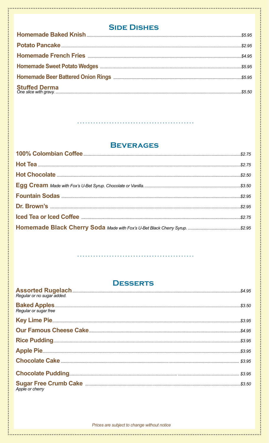# **SIDE DISHES**

**............** 

# **BEVERAGES**

# **DESSERTS**

| Regular or no sugar added.                                                               |  |
|------------------------------------------------------------------------------------------|--|
| Regular or sugar free                                                                    |  |
|                                                                                          |  |
|                                                                                          |  |
|                                                                                          |  |
|                                                                                          |  |
|                                                                                          |  |
|                                                                                          |  |
| Sugar Free Crumb Cake <b>Example 2018</b> 2019 2019 2021 2022 2023 20<br>Apple or cherry |  |